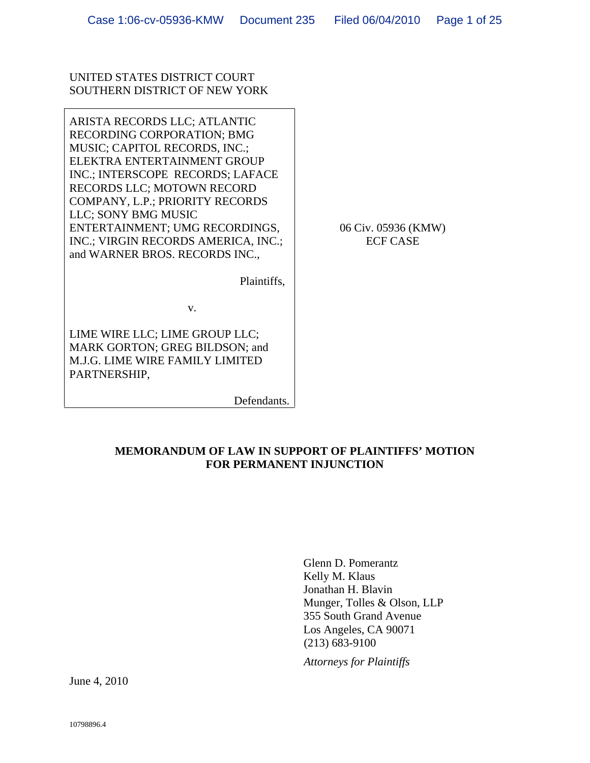## UNITED STATES DISTRICT COURT SOUTHERN DISTRICT OF NEW YORK

ARISTA RECORDS LLC; ATLANTIC RECORDING CORPORATION; BMG MUSIC; CAPITOL RECORDS, INC.; ELEKTRA ENTERTAINMENT GROUP INC.; INTERSCOPE RECORDS; LAFACE RECORDS LLC; MOTOWN RECORD COMPANY, L.P.; PRIORITY RECORDS LLC; SONY BMG MUSIC ENTERTAINMENT; UMG RECORDINGS, INC.; VIRGIN RECORDS AMERICA, INC.; ECF CASE and WARNER BROS. RECORDS INC.,

06 Civ. 05936 (KMW) ECF CASE

Plaintiffs,

v.

LIME WIRE LLC; LIME GROUP LLC; MARK GORTON; GREG BILDSON; and M.J.G. LIME WIRE FAMILY LIMITED PARTNERSHIP,

Defendants.

# **MEMORANDUM OF LAW IN SUPPORT OF PLAINTIFFS' MOTION FOR PERMANENT INJUNCTION**

Glenn D. Pomerantz Kelly M. Klaus Jonathan H. Blavin Munger, Tolles & Olson, LLP 355 South Grand Avenue Los Angeles, CA 90071 (213) 683-9100

*Attorneys for Plaintiffs*

June 4, 2010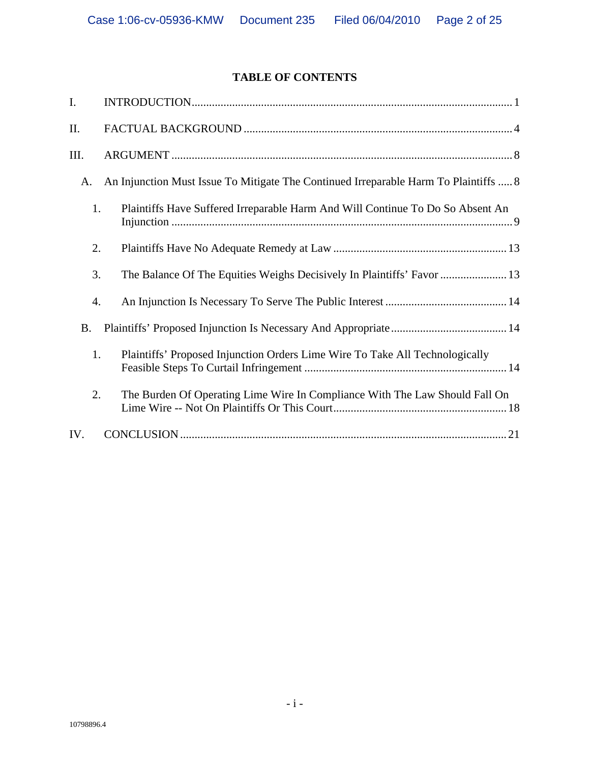# **TABLE OF CONTENTS**

|     | INTRODUCTION.                                                                                                               |
|-----|-----------------------------------------------------------------------------------------------------------------------------|
|     | FACTUAL BACKGROUND.                                                                                                         |
| III | ARGUMENT.                                                                                                                   |
|     | A. An Injunction Must Issue To Mitigate The Continued Irreparable Harm To Plaintiffs  8                                     |
|     | Plaintiffs Have Suffered Irreparable Harm And Will Continue To Do So Absent An<br>Injunction.                               |
|     | Plaintiffs Have No Adequate Remedy at Law.                                                                                  |
|     | The Balance Of The Equities Weighs Decisively In Plaintiffs' Favor                                                          |
|     | An Injunction Is Necessary To Serve The Public Interest<br>4.                                                               |
|     | B. Plaintiffs' Proposed Injunction Is Necessary And Appropriate                                                             |
|     | Plaintiffs' Proposed Injunction Orders Lime Wire To Take All Technologically<br>Feasible Steps To Curtail Infringement.     |
|     | The Burden Of Operating Lime Wire In Compliance With The Law Should Fall On<br>Lime Wire -- Not On Plaintiffs Or This Court |
| IV. | CONCLUSION.                                                                                                                 |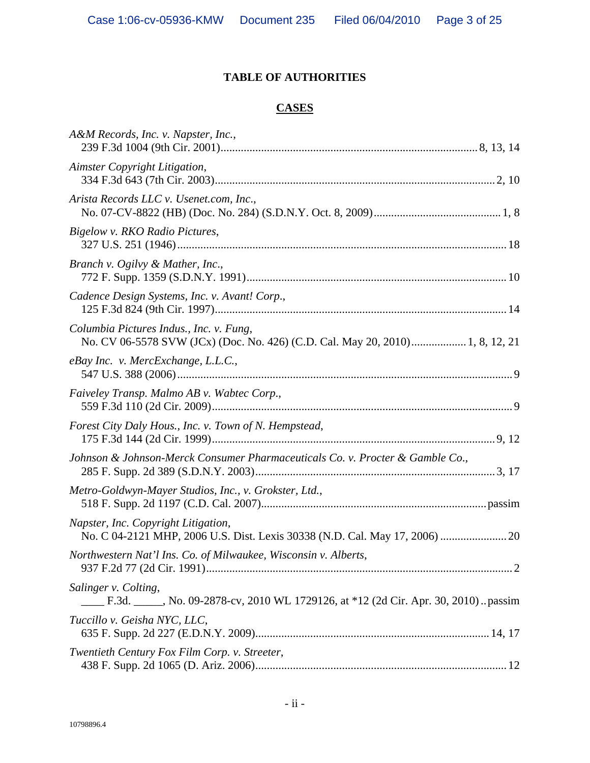# **TABLE OF AUTHORITIES**

# **CASES**

| A&M Records, Inc. v. Napster, Inc.,<br>239 F.3d 1004 (9th Cir. 2001)                                                 | 8, 13, 14            |
|----------------------------------------------------------------------------------------------------------------------|----------------------|
| Aimster Copyright Litigation,<br>334 F.3d 643 (7th Cir. 2003)                                                        | .2, 10               |
| Arista Records LLC v. Usenet.com, Inc.,<br>No. 07-CV-8822 (HB) (Doc. No. 284) (S.D.N.Y. Oct. 8, 2009)                |                      |
| Bigelow v. RKO Radio Pictures,<br>327 U.S. 251 (1946)                                                                |                      |
| Branch v. Ogilvy & Mather, Inc.,<br>772 F. Supp. 1359 (S.D.N.Y. 1991).                                               |                      |
| Cadence Design Systems, Inc. v. Avant! Corp.,<br>125 F.3d 824 (9th Cir. 1997)                                        |                      |
| Columbia Pictures Indus., Inc. v. Fung,<br>No. CV 06-5578 SVW (JCx) (Doc. No. 426) (C.D. Cal. May 20, 2010).         | $\dots$ 1, 8, 12, 21 |
| eBay Inc. v. MercExchange, L.L.C.,<br>547 U.S. 388 (2006)                                                            |                      |
| Faiveley Transp. Malmo AB v. Wabtec Corp.,<br>559 F.3d 110 (2d Cir. 2009)                                            |                      |
| Forest City Daly Hous., Inc. v. Town of N. Hempstead,<br>175 F.3d 144 (2d Cir. 1999)                                 | .9, 12               |
| Johnson & Johnson-Merck Consumer Pharmaceuticals Co. v. Procter & Gamble Co.,<br>285 F. Supp. 2d 389 (S.D.N.Y. 2003) | 3, 17                |
| Metro-Goldwyn-Mayer Studios, Inc., v. Grokster, Ltd.,<br>518 F. Supp. 2d 1197 (C.D. Cal. 2007)                       | . passim             |
| Napster, Inc. Copyright Litigation,<br>No. C 04-2121 MHP, 2006 U.S. Dist. Lexis 30338 (N.D. Cal. May 17, 2006)       | 20                   |
| Northwestern Nat'l Ins. Co. of Milwaukee, Wisconsin v. Alberts,<br>937 F.2d 77 (2d Cir. 1991)                        |                      |
| Salinger v. Colting,<br>F.3d. No. 09-2878-cv, 2010 WL 1729126, at *12 (2d Cir. Apr. 30, 2010) passim                 |                      |
| Tuccillo v. Geisha NYC, LLC,<br>635 F. Supp. 2d 227 (E.D.N.Y. 2009)                                                  | .14, 17              |
| Twentieth Century Fox Film Corp. v. Streeter,<br>438 F. Supp. 2d 1065 (D. Ariz. 2006)                                | 12                   |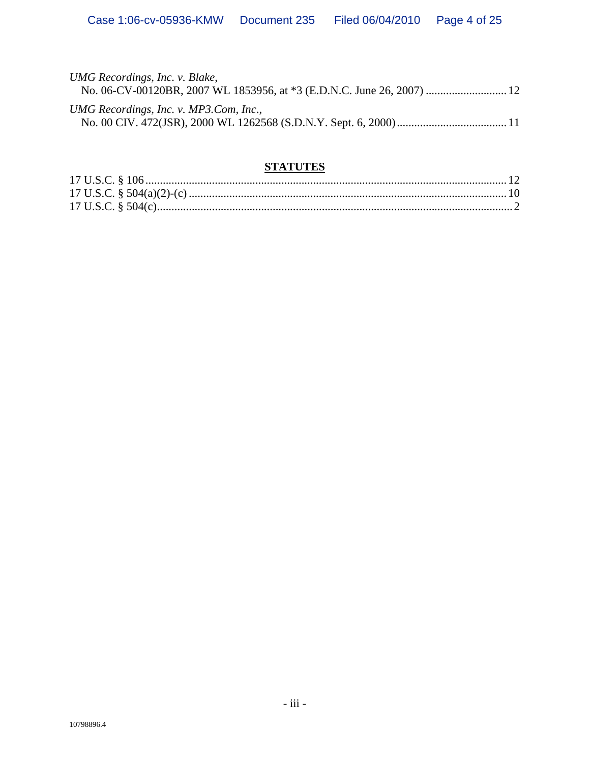| UMG Recordings, Inc. v. Blake,<br>No. 06-CV-00120BR, 2007 WL 1853956, at *3 (E.D.N.C. June 26, 2007)  12 |
|----------------------------------------------------------------------------------------------------------|
| UMG Recordings, Inc. v. MP3.Com, Inc.,                                                                   |

# **STATUTES**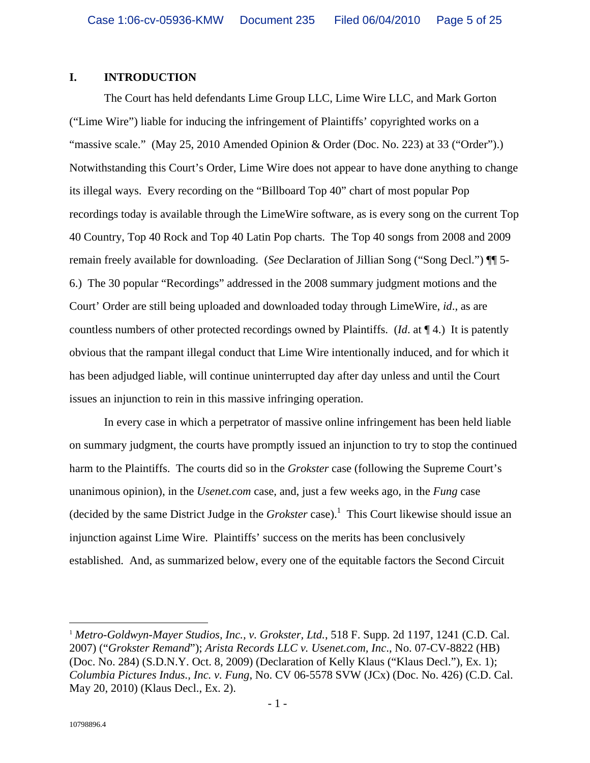## **I. INTRODUCTION**

The Court has held defendants Lime Group LLC, Lime Wire LLC, and Mark Gorton ("Lime Wire") liable for inducing the infringement of Plaintiffs' copyrighted works on a<br>"massive scale." (May 25, 2010 Amended Opinion & Order (Doc. No. 223) at 33 ("Order").)<br>Notwithstanding this Court's Order, Lime Wire its illegal ways. Every recording on the "Billboard Top 40" chart of most popular Pop recordings today is available through the LimeWire software, as is every song on the current Top 40 Country, Top 40 Rock and Top 40 Latin Pop charts. The Top 40 songs from 2008 and 2009 remain freely available for downloading. (*See* Declaration of Jillian Song ("Song Decl.") ¶¶ 5- 6.) The 30 popular "Recordings" addressed in the 2008 summary judgment motions and the Court' Order are still being uploaded and downloaded today through LimeWire, *id*., as are countless numbers of other protected recordings owned by Plaintiffs. (*Id*. at ¶ 4.) It is patently obvious that the rampant illegal conduct that Lime Wire intentionally induced, and for which it has been adjudged liable, will continue uninterrupted day after day unless and until the Court issues an injunction to rein in this massive infringing operation.

In every case in which a perpetrator of massive online infringement has been held liable on summary judgment, the courts have promptly issued an injunction to try to stop the continued harm to the Plaintiffs. The courts did so in the *Grokster* case (following the Supreme Court's unanimous opinion), in the *Usenet.com* case, and, just a few weeks ago, in the *Fung* case (decided by the same District Judge in the *Grokster* case).<sup>1</sup> This Court likewise should issue an injunction against Lime Wire. Plaintiffs' success on the merits has been conclusively established. And, as summarized below, every one of the equitable factors the Second Circuit

 <sup>1</sup> *Metro-Goldwyn-Mayer Studios, Inc., v. Grokster, Ltd.*, 518 F. Supp. 2d 1197, 1241 (C.D. Cal. 2007) ("*Grokster Remand*"); *Arista Records LLC v. Usenet.com, Inc*., No. 07-CV-8822 (HB) (Doc. No. 284) (S.D.N.Y. Oct. 8, 2009) (Declaration of Kelly Klaus ("Klaus Decl."), Ex. 1); *Columbia Pictures Indus., Inc. v. Fung*, No. CV 06-5578 SVW (JCx) (Doc. No. 426) (C.D. Cal. May 20, 2010) (Klaus Decl., Ex. 2).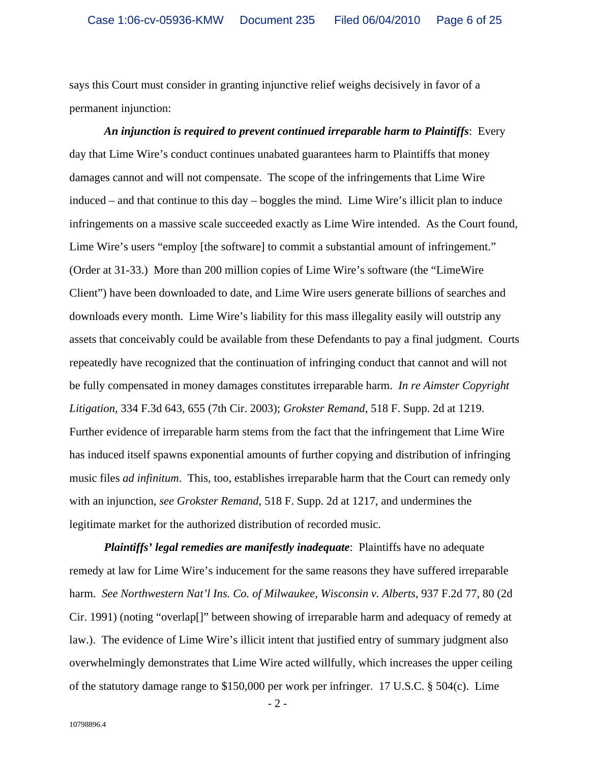says this Court must consider in granting injunctive relief weighs decisively in favor of a permanent injunction:

*An injunction is required to prevent continued irreparable harm to Plaintiffs*: Every day that Lime Wire's conduct continues unabated guarantees harm to Plaintiffs that money damages cannot and will not compensate. The scope of the infringements that Lime Wire induced – and that continue to this day – boggles the mind. Lime Wire's illicit plan to induce infringements on a massive scale succeeded exactly as Lime Wire intended. As the Court found, Lime Wire's users "employ [the software] to commit a substantial amount of infringement." (Order at 31-33.) More than 200 million copies of Lime Wire's software (the "LimeWire Client") have been downloaded to date, and Lime Wire users generate billions of searches and downloads every month. Lime Wire's liability for this mass illegality easily will outstrip any assets that conceivably could be available from these Defendants to pay a final judgment. Courts repeatedly have recognized that the continuation of infringing conduct that cannot and will not be fully compensated in money damages constitutes irreparable harm. *In re Aimster Copyright Litigation*, 334 F.3d 643, 655 (7th Cir. 2003); *Grokster Remand*, 518 F. Supp. 2d at 1219. Further evidence of irreparable harm stems from the fact that the infringement that Lime Wire has induced itself spawns exponential amounts of further copying and distribution of infringing music files *ad infinitum*. This, too, establishes irreparable harm that the Court can remedy only with an injunction, *see Grokster Remand*, 518 F. Supp. 2d at 1217, and undermines the legitimate market for the authorized distribution of recorded music.

*Plaintiffs' legal remedies are manifestly inadequate*: Plaintiffs have no adequate remedy at law for Lime Wire's inducement for the same reasons they have suffered irreparable harm. *See Northwestern Nat'l Ins. Co. of Milwaukee, Wisconsin v. Alberts*, 937 F.2d 77, 80 (2d Cir. 1991) (noting "overlap[]" between showing of irreparable harm and adequacy of remedy at law.). The evidence of Lime Wire's illicit intent that justified entry of summary judgment also overwhelmingly demonstrates that Lime Wire acted willfully, which increases the upper ceiling of the statutory damage range to \$150,000 per work per infringer. 17 U.S.C. § 504(c). Lime

- 2 -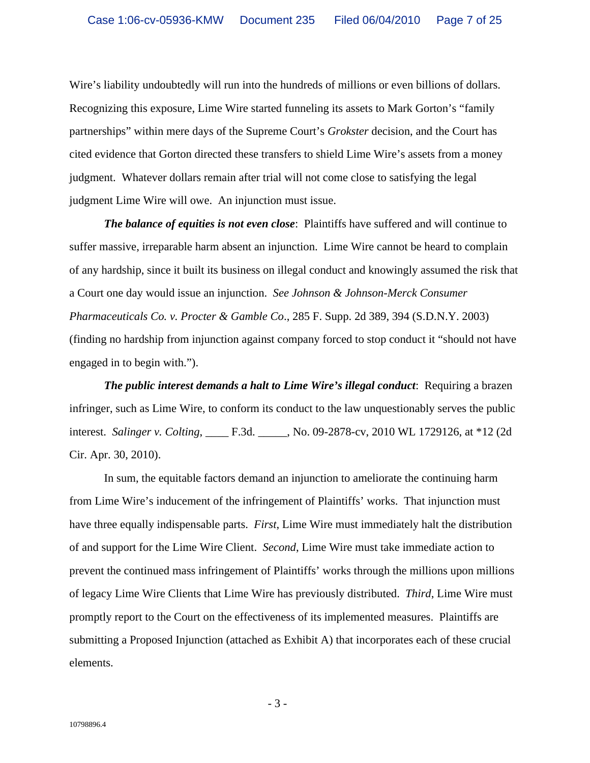Wire's liability undoubtedly will run into the hundreds of millions or even billions of dollars. Recognizing this exposure, Lime Wire started funneling its assets to Mark Gorton's "family partnerships" within mere days of the Supreme Court's *Grokster* decision, and the Court has cited evidence that Gorton directed these transfers to shield Lime Wire's assets from a money judgment. Whatever dollars remain after trial will not come close to satisfying the legal judgment Lime Wire will owe. An injunction must issue.

*The balance of equities is not even close*: Plaintiffs have suffered and will continue to suffer massive, irreparable harm absent an injunction. Lime Wire cannot be heard to complain of any hardship, since it built its business on illegal conduct and knowingly assumed the risk that a Court one day would issue an injunction. *See Johnson & Johnson-Merck Consumer Pharmaceuticals Co. v. Procter & Gamble Co*., 285 F. Supp. 2d 389, 394 (S.D.N.Y. 2003) (finding no hardship from injunction against company forced to stop conduct it "should not have engaged in to begin with.").

*The public interest demands a halt to Lime Wire's illegal conduct*: Requiring a brazen infringer, such as Lime Wire, to conform its conduct to the law unquestionably serves the public interest. *Salinger v. Colting*, \_\_\_\_ F.3d. \_\_\_\_\_, No. 09-2878-cv, 2010 WL 1729126, at \*12 (2d Cir. Apr. 30, 2010).

In sum, the equitable factors demand an injunction to ameliorate the continuing harm from Lime Wire's inducement of the infringement of Plaintiffs' works. That injunction must have three equally indispensable parts. *First*, Lime Wire must immediately halt the distribution of and support for the Lime Wire Client. *Second*, Lime Wire must take immediate action to prevent the continued mass infringement of Plaintiffs' works through the millions upon millions of legacy Lime Wire Clients that Lime Wire has previously distributed. *Third*, Lime Wire must promptly report to the Court on the effectiveness of its implemented measures. Plaintiffs are submitting a Proposed Injunction (attached as Exhibit A) that incorporates each of these crucial elements.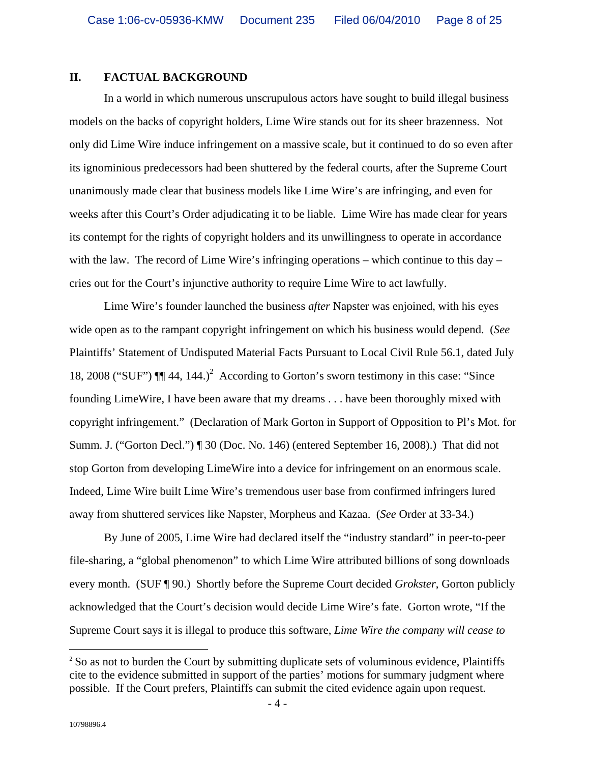#### **II. FACTUAL BACKGROUND**

In a world in which numerous unscrupulous actors have sought to build illegal business models on the backs of copyright holders, Lime Wire stands out for its sheer brazenness. Not only did Lime Wire induce infringement on a massive scale, but it continued to do so even after its ignominious predecessors had been shuttered by the federal courts, after the Supreme Court unanimously made clear that business models like Lime Wire's are infringing, and even for weeks after this Court's Order adjudicating it to be liable. Lime Wire has made clear for years its contempt for the rights of copyright holders and its unwillingness to operate in accordance with the law. The record of Lime Wire's infringing operations – which continue to this day – cries out for the Court's injunctive authority to require Lime Wire to act lawfully.

Lime Wire's founder launched the business *after* Napster was enjoined, with his eyes wide open as to the rampant copyright infringement on which his business would depend. (*See* Plaintiffs' Statement of Undisputed Material Facts Pursuant to Local Civil Rule 56.1, dated July 18, 2008 ("SUF")  $\P$  $[$  44, 144.)<sup>2</sup> According to Gorton's sworn testimony in this case: "Since founding LimeWire, I have been aware that my dreams . . . have been thoroughly mixed with copyright infringement." (Declaration of Mark Gorton in Support of Opposition to Pl's Mot. for Summ. J. ("Gorton Decl.") ¶ 30 (Doc. No. 146) (entered September 16, 2008).) That did not stop Gorton from developing LimeWire into a device for infringement on an enormous scale. Indeed, Lime Wire built Lime Wire's tremendous user base from confirmed infringers lured away from shuttered services like Napster, Morpheus and Kazaa. (*See* Order at 33-34.)

By June of 2005, Lime Wire had declared itself the "industry standard" in peer-to-peer file-sharing, a "global phenomenon" to which Lime Wire attributed billions of song downloads every month. (SUF ¶ 90.) Shortly before the Supreme Court decided *Grokster*, Gorton publicly acknowledged that the Court's decision would decide Lime Wire's fate. Gorton wrote, "If the Supreme Court says it is illegal to produce this software, *Lime Wire the company will cease to* 

<sup>&</sup>lt;sup>2</sup> So as not to burden the Court by submitting duplicate sets of voluminous evidence, Plaintiffs cite to the evidence submitted in support of the parties' motions for summary judgment where possible. If the Court prefers, Plaintiffs can submit the cited evidence again upon request.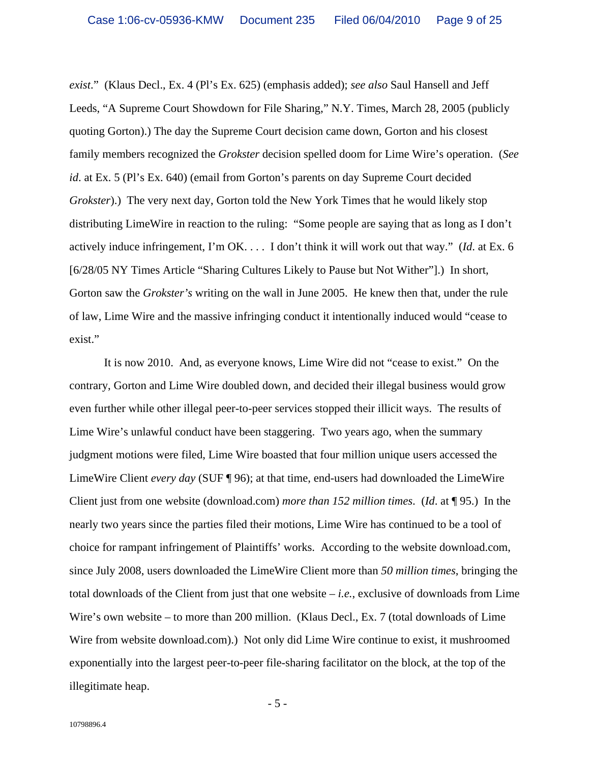*exist*." (Klaus Decl., Ex. 4 (Pl's Ex. 625) (emphasis added); *see also* Saul Hansell and Jeff Leeds, "A Supreme Court Showdown for File Sharing," N.Y. Times, March 28, 2005 (publicly quoting Gorton).) The day the Supreme Court decision came down, Gorton and his closest family members recognized the *Grokster* decision spelled doom for Lime Wire's operation. (*See id*. at Ex. 5 (Pl's Ex. 640) (email from Gorton's parents on day Supreme Court decided *Grokster*).) The very next day, Gorton told the New York Times that he would likely stop distributing LimeWire in reaction to the ruling: "Some people are saying that as long as I don't actively induce infringement, I'm OK. . . . I don't think it will work out that way." (*Id*. at Ex. 6 [6/28/05 NY Times Article "Sharing Cultures Likely to Pause but Not Wither"].) In short, Gorton saw the *Grokster's* writing on the wall in June 2005. He knew then that, under the rule of law, Lime Wire and the massive infringing conduct it intentionally induced would "cease to exist."

It is now 2010. And, as everyone knows, Lime Wire did not "cease to exist." On the contrary, Gorton and Lime Wire doubled down, and decided their illegal business would grow even further while other illegal peer-to-peer services stopped their illicit ways. The results of Lime Wire's unlawful conduct have been staggering. Two years ago, when the summary judgment motions were filed, Lime Wire boasted that four million unique users accessed the LimeWire Client *every day* (SUF ¶ 96); at that time, end-users had downloaded the LimeWire Client just from one website (download.com) *more than 152 million times*. (*Id*. at ¶ 95.) In the nearly two years since the parties filed their motions, Lime Wire has continued to be a tool of choice for rampant infringement of Plaintiffs' works. According to the website download.com, since July 2008, users downloaded the LimeWire Client more than *50 million times*, bringing the total downloads of the Client from just that one website – *i.e.*, exclusive of downloads from Lime Wire's own website – to more than 200 million. (Klaus Decl., Ex. 7 (total downloads of Lime Wire from website download.com).) Not only did Lime Wire continue to exist, it mushroomed exponentially into the largest peer-to-peer file-sharing facilitator on the block, at the top of the illegitimate heap.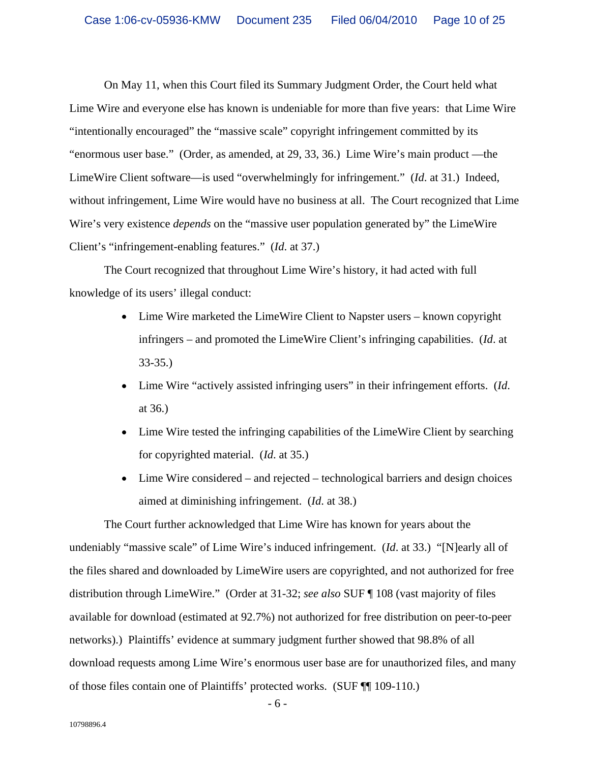On May 11, when this Court filed its Summary Judgment Order, the Court held what Lime Wire and everyone else has known is undeniable for more than five years: that Lime Wire<br>"intentionally encouraged" the "massive scale" copyright infringement committed by its<br>"enormous user base." (Order, as amended, LimeWire Client software—is used "overwhelmingly for infringement." (*Id*. at 31.) Indeed, without infringement, Lime Wire would have no business at all. The Court recognized that Lime Wire's very existence *depends* on the "massive user population generated by" the LimeWire Client's "infringement-enabling features." (*Id*. at 37.) The Court recognized that throughout Lime Wire's history, it had acted with full

knowledge of its users' illegal conduct:

- Lime Wire marketed the LimeWire Client to Napster users known copyright infringers – and promoted the LimeWire Client's infringing capabilities. (*Id*. at 33-35.)
- Lime Wire "actively assisted infringing users" in their infringement efforts. (*Id*. at 36.)
- Lime Wire tested the infringing capabilities of the LimeWire Client by searching for copyrighted material. (*Id*. at 35.)
- Lime Wire considered and rejected technological barriers and design choices aimed at diminishing infringement. (*Id*. at 38.)

The Court further acknowledged that Lime Wire has known for years about the undeniably "massive scale" of Lime Wire's induced infringement. (*Id*. at 33.) "[N]early all of the files shared and downloaded by LimeWire users are copyrighted, and not authorized for free distribution through LimeWire." (Order at 31-32; *see also* SUF ¶ 108 (vast majority of files available for download (estimated at 92.7%) not authorized for free distribution on peer-to-peer networks).) Plaintiffs' evidence at summary judgment further showed that 98.8% of all download requests among Lime Wire's enormous user base are for unauthorized files, and many of those files contain one of Plaintiffs' protected works. (SUF ¶¶ 109-110.)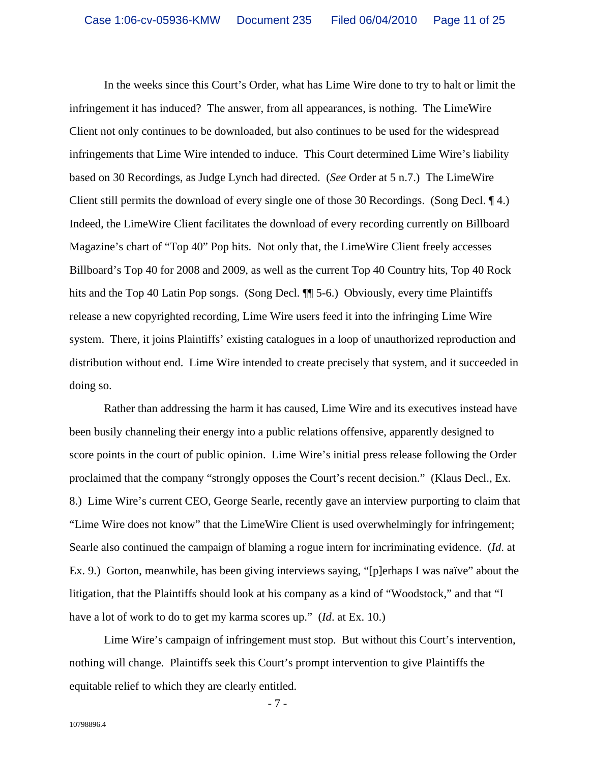In the weeks since this Court's Order, what has Lime Wire done to try to halt or limit the infringement it has induced? The answer, from all appearances, is nothing. The LimeWire Client not only continues to be downloaded, but also continues to be used for the widespread infringements that Lime Wire intended to induce. This Court determined Lime Wire's liability based on 30 Recordings, as Judge Lynch had directed. (*See* Order at 5 n.7.) The LimeWire Client still permits the download of every single one of those 30 Recordings. (Song Decl. ¶ 4.) Indeed, the LimeWire Client facilitates the download of every recording currently on Billboard Magazine's chart of "Top 40" Pop hits. Not only that, the LimeWire Client freely accesses Billboard's Top 40 for 2008 and 2009, as well as the current Top 40 Country hits, Top 40 Rock hits and the Top 40 Latin Pop songs. (Song Decl.  $\P$  5-6.) Obviously, every time Plaintiffs release a new copyrighted recording, Lime Wire users feed it into the infringing Lime Wire system. There, it joins Plaintiffs' existing catalogues in a loop of unauthorized reproduction and distribution without end. Lime Wire intended to create precisely that system, and it succeeded in doing so.

Rather than addressing the harm it has caused, Lime Wire and its executives instead have been busily channeling their energy into a public relations offensive, apparently designed to score points in the court of public opinion. Lime Wire's initial press release following the Order proclaimed that the company "strongly opposes the Court's recent decision." (Klaus Decl., Ex. 8.) Lime Wire's current CEO, George Searle, recently gave an interview purporting to claim that "Lime Wire does not know" that the LimeWire Client is used overwhelmingly for infringement; Searle also continued the campaign of blaming a rogue intern for incriminating evidence. (*Id*. at Ex. 9.) Gorton, meanwhile, has been giving interviews saying, "[p]erhaps I was naïve" about the litigation, that the Plaintiffs should look at his company as a kind of "Woodstock," and that "I have a lot of work to do to get my karma scores up." (*Id*. at Ex. 10.)

Lime Wire's campaign of infringement must stop. But without this Court's intervention, nothing will change. Plaintiffs seek this Court's prompt intervention to give Plaintiffs the equitable relief to which they are clearly entitled.

- 7 -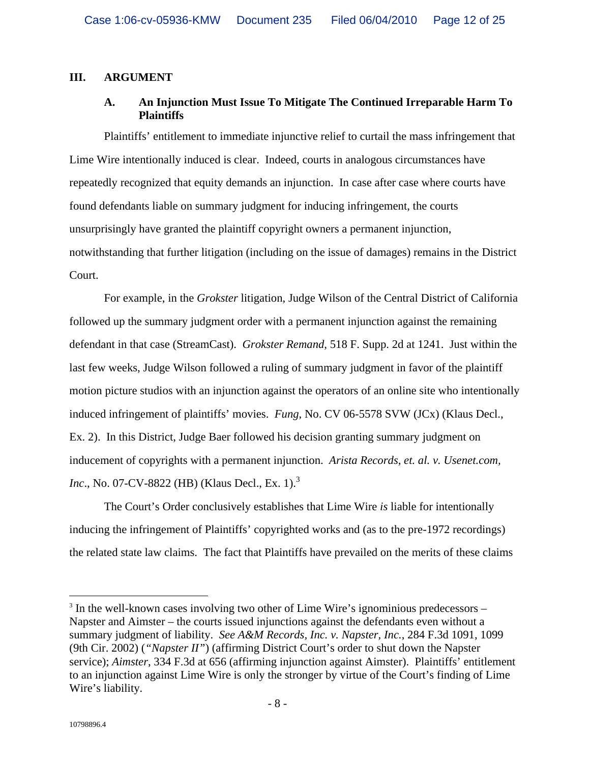# **III. ARGUMENT**

# **A. An Injunction Must Issue To Mitigate The Continued Irreparable Harm To Plaintiffs**

Plaintiffs' entitlement to immediate injunctive relief to curtail the mass infringement that Lime Wire intentionally induced is clear. Indeed, courts in analogous circumstances have repeatedly recognized that equity demands an injunction. In case after case where courts have found defendants liable on summary judgment for inducing infringement, the courts unsurprisingly have granted the plaintiff copyright owners a permanent injunction, notwithstanding that further litigation (including on the issue of damages) remains in the District Court.

For example, in the *Grokster* litigation, Judge Wilson of the Central District of California followed up the summary judgment order with a permanent injunction against the remaining defendant in that case (StreamCast). *Grokster Remand*, 518 F. Supp. 2d at 1241. Just within the last few weeks, Judge Wilson followed a ruling of summary judgment in favor of the plaintiff motion picture studios with an injunction against the operators of an online site who intentionally induced infringement of plaintiffs' movies. *Fung*, No. CV 06-5578 SVW (JCx) (Klaus Decl., Ex. 2). In this District, Judge Baer followed his decision granting summary judgment on inducement of copyrights with a permanent injunction. *Arista Records, et. al. v. Usenet.com, Inc.*, No. 07-CV-8822 (HB) (Klaus Decl., Ex. 1).<sup>3</sup>

The Court's Order conclusively establishes that Lime Wire *is* liable for intentionally inducing the infringement of Plaintiffs' copyrighted works and (as to the pre-1972 recordings) the related state law claims. The fact that Plaintiffs have prevailed on the merits of these claims

<sup>&</sup>lt;sup>3</sup> In the well-known cases involving two other of Lime Wire's ignominious predecessors – Napster and Aimster – the courts issued injunctions against the defendants even without a summary judgment of liability. *See A&M Records, Inc. v. Napster, Inc.*, 284 F.3d 1091, 1099 (9th Cir. 2002) (*"Napster II"*) (affirming District Court's order to shut down the Napster service); *Aimster*, 334 F.3d at 656 (affirming injunction against Aimster). Plaintiffs' entitlement to an injunction against Lime Wire is only the stronger by virtue of the Court's finding of Lime Wire's liability.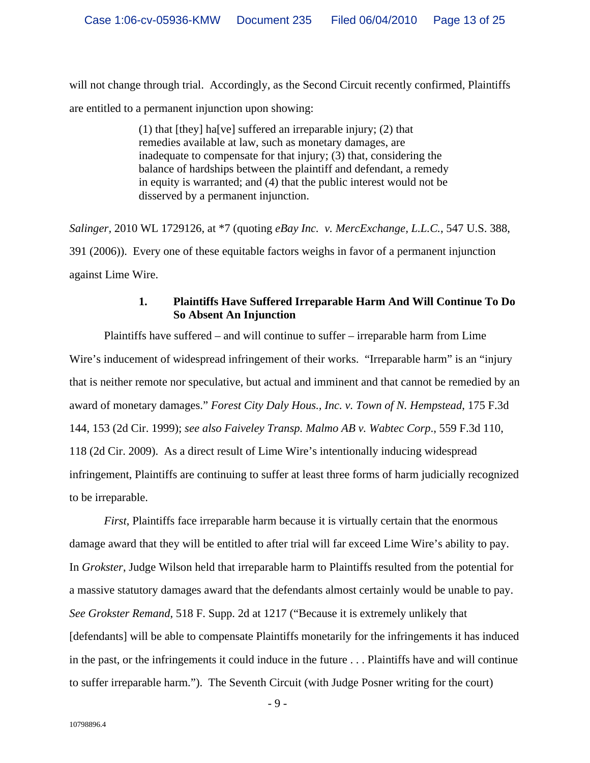will not change through trial. Accordingly, as the Second Circuit recently confirmed, Plaintiffs are entitled to a permanent injunction upon showing:

> (1) that [they] ha[ve] suffered an irreparable injury; (2) that remedies available at law, such as monetary damages, are inadequate to compensate for that injury; (3) that, considering the balance of hardships between the plaintiff and defendant, a remedy in equity is warranted; and (4) that the public interest would not be disserved by a permanent injunction.

*Salinger,* 2010 WL 1729126, at \*7 (quoting *eBay Inc. v. MercExchange, L.L.C.*, 547 U.S. 388, 391 (2006)). Every one of these equitable factors weighs in favor of a permanent injunction against Lime Wire.

# **1. Plaintiffs Have Suffered Irreparable Harm And Will Continue To Do So Absent An Injunction**

Plaintiffs have suffered – and will continue to suffer – irreparable harm from Lime Wire's inducement of widespread infringement of their works. "Irreparable harm" is an "injury that is neither remote nor speculative, but actual and imminent and that cannot be remedied by an award of monetary damages." *Forest City Daly Hous., Inc. v. Town of N. Hempstead*, 175 F.3d 144, 153 (2d Cir. 1999); *see also Faiveley Transp. Malmo AB v. Wabtec Corp*., 559 F.3d 110, 118 (2d Cir. 2009). As a direct result of Lime Wire's intentionally inducing widespread infringement, Plaintiffs are continuing to suffer at least three forms of harm judicially recognized to be irreparable.

*First*, Plaintiffs face irreparable harm because it is virtually certain that the enormous damage award that they will be entitled to after trial will far exceed Lime Wire's ability to pay. In *Grokster*, Judge Wilson held that irreparable harm to Plaintiffs resulted from the potential for a massive statutory damages award that the defendants almost certainly would be unable to pay. *See Grokster Remand*, 518 F. Supp. 2d at 1217 ("Because it is extremely unlikely that [defendants] will be able to compensate Plaintiffs monetarily for the infringements it has induced in the past, or the infringements it could induce in the future . . . Plaintiffs have and will continue to suffer irreparable harm."). The Seventh Circuit (with Judge Posner writing for the court)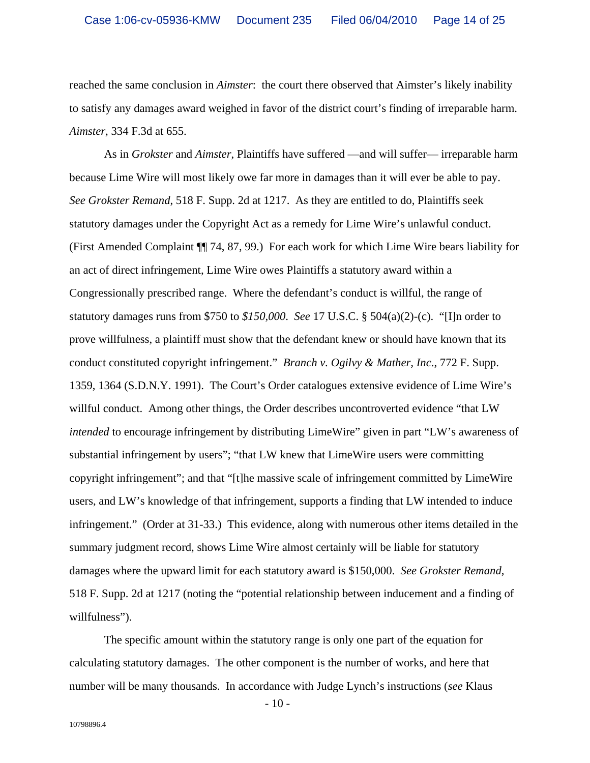reached the same conclusion in *Aimster*: the court there observed that Aimster's likely inability to satisfy any damages award weighed in favor of the district court's finding of irreparable harm. *Aimster*, 334 F.3d at 655. As in *Grokster* and *Aimster*, Plaintiffs have suffered —and will suffer— irreparable harm

because Lime Wire will most likely owe far more in damages than it will ever be able to pay. *See Grokster Remand*, 518 F. Supp. 2d at 1217. As they are entitled to do, Plaintiffs seek statutory damages under the Copyright Act as a remedy for Lime Wire's unlawful conduct. (First Amended Complaint ¶¶ 74, 87, 99.) For each work for which Lime Wire bears liability for an act of direct infringement, Lime Wire owes Plaintiffs a statutory award within a Congressionally prescribed range. Where the defendant's conduct is willful, the range of statutory damages runs from \$750 to *\$150,000*. *See* 17 U.S.C. § 504(a)(2)-(c). "[I]n order to prove willfulness, a plaintiff must show that the defendant knew or should have known that its conduct constituted copyright infringement." *Branch v. Ogilvy & Mather, Inc*., 772 F. Supp. 1359, 1364 (S.D.N.Y. 1991). The Court's Order catalogues extensive evidence of Lime Wire's willful conduct. Among other things, the Order describes uncontroverted evidence "that LW *intended* to encourage infringement by distributing LimeWire" given in part "LW's awareness of substantial infringement by users"; "that LW knew that LimeWire users were committing copyright infringement"; and that "[t]he massive scale of infringement committed by LimeWire users, and LW's knowledge of that infringement, supports a finding that LW intended to induce infringement." (Order at 31-33.) This evidence, along with numerous other items detailed in the summary judgment record, shows Lime Wire almost certainly will be liable for statutory damages where the upward limit for each statutory award is \$150,000. *See Grokster Remand*, 518 F. Supp. 2d at 1217 (noting the "potential relationship between inducement and a finding of willfulness").

The specific amount within the statutory range is only one part of the equation for calculating statutory damages. The other component is the number of works, and here that number will be many thousands. In accordance with Judge Lynch's instructions (*see* Klaus

- 10 -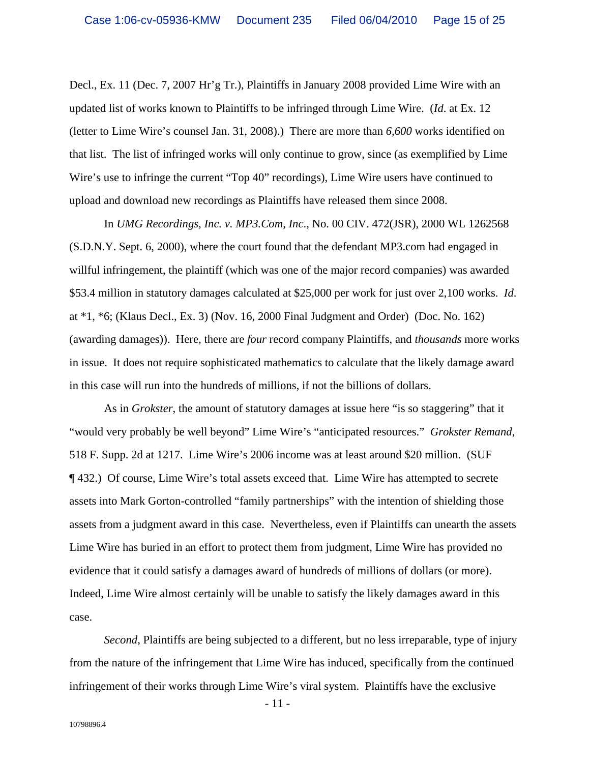Decl., Ex. 11 (Dec. 7, 2007 Hr'g Tr.), Plaintiffs in January 2008 provided Lime Wire with an updated list of works known to Plaintiffs to be infringed through Lime Wire. (*Id*. at Ex. 12 (letter to Lime Wire's counsel Jan. 31, 2008).) There are more than *6,600* works identified on that list. The list of infringed works will only continue to grow, since (as exemplified by Lime Wire's use to infringe the current "Top 40" recordings), Lime Wire users have continued to upload and download new recordings as Plaintiffs have released them since 2008.

In *UMG Recordings, Inc. v. MP3.Com, Inc*., No. 00 CIV. 472(JSR), 2000 WL 1262568 (S.D.N.Y. Sept. 6, 2000), where the court found that the defendant MP3.com had engaged in willful infringement, the plaintiff (which was one of the major record companies) was awarded \$53.4 million in statutory damages calculated at \$25,000 per work for just over 2,100 works. *Id*. at \*1, \*6; (Klaus Decl., Ex. 3) (Nov. 16, 2000 Final Judgment and Order) (Doc. No. 162) (awarding damages)). Here, there are *four* record company Plaintiffs, and *thousands* more works in issue. It does not require sophisticated mathematics to calculate that the likely damage award in this case will run into the hundreds of millions, if not the billions of dollars.

As in *Grokster*, the amount of statutory damages at issue here "is so staggering" that it "would very probably be well beyond" Lime Wire's "anticipated resources." *Grokster Remand*, 518 F. Supp. 2d at 1217. Lime Wire's 2006 income was at least around \$20 million. (SUF ¶ 432.) Of course, Lime Wire's total assets exceed that. Lime Wire has attempted to secrete assets into Mark Gorton-controlled "family partnerships" with the intention of shielding those assets from a judgment award in this case. Nevertheless, even if Plaintiffs can unearth the assets Lime Wire has buried in an effort to protect them from judgment, Lime Wire has provided no evidence that it could satisfy a damages award of hundreds of millions of dollars (or more). Indeed, Lime Wire almost certainly will be unable to satisfy the likely damages award in this case.

*Second*, Plaintiffs are being subjected to a different, but no less irreparable, type of injury from the nature of the infringement that Lime Wire has induced, specifically from the continued infringement of their works through Lime Wire's viral system. Plaintiffs have the exclusive

- 11 -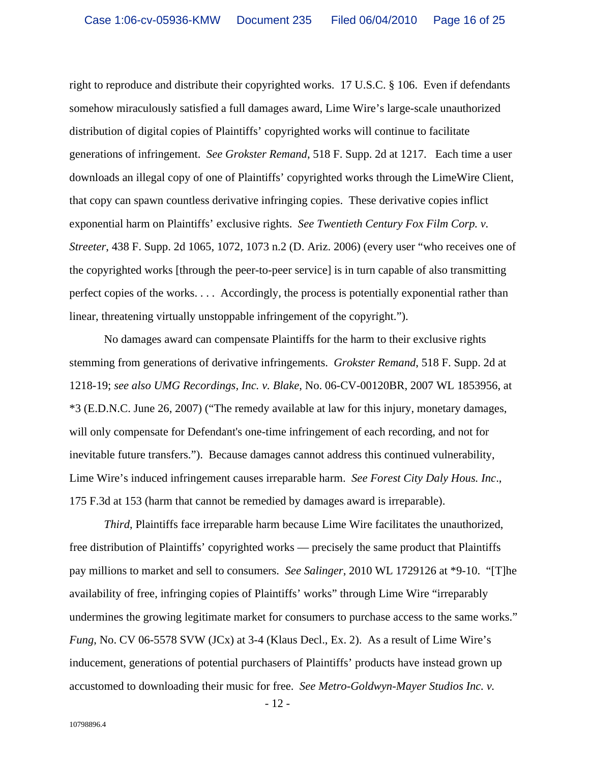right to reproduce and distribute their copyrighted works. 17 U.S.C. § 106. Even if defendants somehow miraculously satisfied a full damages award, Lime Wire's large-scale unauthorized distribution of digital copies of Plaintiffs' copyrighted works will continue to facilitate generations of infringement. *See Grokster Remand*, 518 F. Supp. 2d at 1217. Each time a user downloads an illegal copy of one of Plaintiffs' copyrighted works through the LimeWire Client, that copy can spawn countless derivative infringing copies. These derivative copies inflict exponential harm on Plaintiffs' exclusive rights. *See Twentieth Century Fox Film Corp. v. Streeter*, 438 F. Supp. 2d 1065, 1072, 1073 n.2 (D. Ariz. 2006) (every user "who receives one of the copyrighted works [through the peer-to-peer service] is in turn capable of also transmitting perfect copies of the works. . . . Accordingly, the process is potentially exponential rather than linear, threatening virtually unstoppable infringement of the copyright.").

No damages award can compensate Plaintiffs for the harm to their exclusive rights stemming from generations of derivative infringements. *Grokster Remand*, 518 F. Supp. 2d at 1218-19; *see also UMG Recordings, Inc. v. Blake*, No. 06-CV-00120BR, 2007 WL 1853956, at \*3 (E.D.N.C. June 26, 2007) ("The remedy available at law for this injury, monetary damages, will only compensate for Defendant's one-time infringement of each recording, and not for inevitable future transfers."). Because damages cannot address this continued vulnerability,<br>Lime Wire's induced infringement causes irreparable harm. *See Forest City Daly Hous. Inc.*,<br>175 F.3d at 153 (harm that cannot be

*Third*, Plaintiffs face irreparable harm because Lime Wire facilitates the unauthorized, free distribution of Plaintiffs' copyrighted works — precisely the same product that Plaintiffs pay millions to market and sell to consumers. *See Salinger*, 2010 WL 1729126 at \*9-10. "[T]he availability of free, infringing copies of Plaintiffs' works" through Lime Wire "irreparably undermines the growing legitimate market for consumers to purchase access to the same works." *Fung*, No. CV 06-5578 SVW (JCx) at 3-4 (Klaus Decl., Ex. 2). As a result of Lime Wire's inducement, generations of potential purchasers of Plaintiffs' products have instead grown up accustomed to downloading their music for free. *See Metro-Goldwyn-Mayer Studios Inc. v.*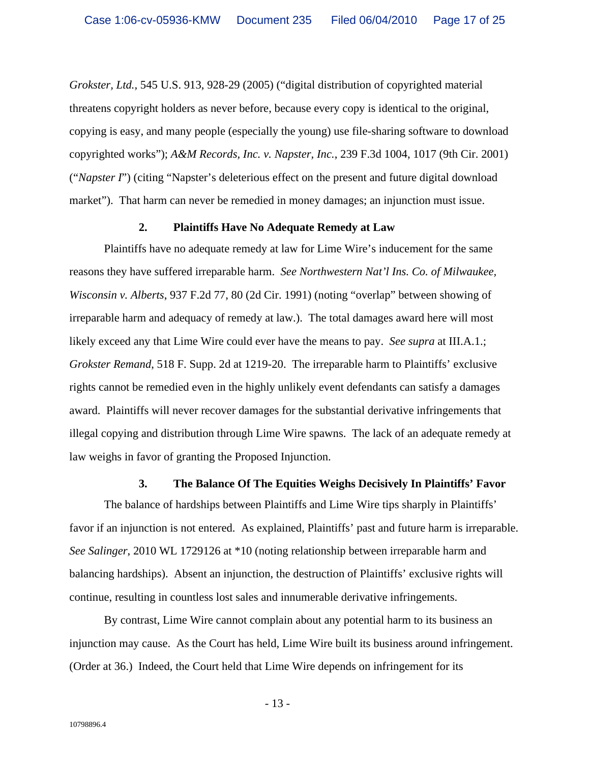*Grokster, Ltd.,* 545 U.S. 913, 928-29 (2005) ("digital distribution of copyrighted material threatens copyright holders as never before, because every copy is identical to the original, copying is easy, and many people (especially the young) use file-sharing software to download copyrighted works"); *A&M Records, Inc. v. Napster, Inc.*, 239 F.3d 1004, 1017 (9th Cir. 2001) ("*Napster I*") (citing "Napster's deleterious effect on the present and future digital download market"). That harm can never be remedied in money damages; an injunction must issue.

#### **2. Plaintiffs Have No Adequate Remedy at Law**

Plaintiffs have no adequate remedy at law for Lime Wire's inducement for the same reasons they have suffered irreparable harm. *See Northwestern Nat'l Ins. Co. of Milwaukee, Wisconsin v. Alberts*, 937 F.2d 77, 80 (2d Cir. 1991) (noting "overlap" between showing of irreparable harm and adequacy of remedy at law.). The total damages award here will most likely exceed any that Lime Wire could ever have the means to pay. *See supra* at III.A.1.; *Grokster Remand*, 518 F. Supp. 2d at 1219-20. The irreparable harm to Plaintiffs' exclusive rights cannot be remedied even in the highly unlikely event defendants can satisfy a damages award. Plaintiffs will never recover damages for the substantial derivative infringements that illegal copying and distribution through Lime Wire spawns. The lack of an adequate remedy at law weighs in favor of granting the Proposed Injunction.

## **3. The Balance Of The Equities Weighs Decisively In Plaintiffs' Favor**

The balance of hardships between Plaintiffs and Lime Wire tips sharply in Plaintiffs' favor if an injunction is not entered. As explained, Plaintiffs' past and future harm is irreparable. *See Salinger*, 2010 WL 1729126 at \*10 (noting relationship between irreparable harm and balancing hardships). Absent an injunction, the destruction of Plaintiffs' exclusive rights will continue, resulting in countless lost sales and innumerable derivative infringements. By contrast, Lime Wire cannot complain about any potential harm to its business an

injunction may cause. As the Court has held, Lime Wire built its business around infringement. (Order at 36.) Indeed, the Court held that Lime Wire depends on infringement for its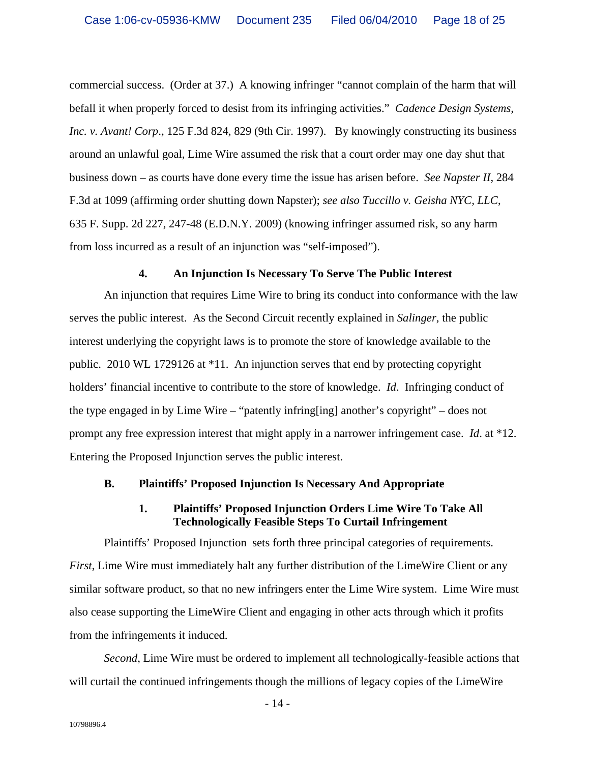commercial success. (Order at 37.) A knowing infringer "cannot complain of the harm that will befall it when properly forced to desist from its infringing activities." *Cadence Design Systems, Inc. v. Avant! Corp*., 125 F.3d 824, 829 (9th Cir. 1997). By knowingly constructing its business around an unlawful goal, Lime Wire assumed the risk that a court order may one day shut that business down – as courts have done every time the issue has arisen before. *See Napster II*, 284 F.3d at 1099 (affirming order shutting down Napster); *see also Tuccillo v. Geisha NYC, LLC*, 635 F. Supp. 2d 227, 247-48 (E.D.N.Y. 2009) (knowing infringer assumed risk, so any harm from loss incurred as a result of an injunction was "self-imposed").

#### **4. An Injunction Is Necessary To Serve The Public Interest**

An injunction that requires Lime Wire to bring its conduct into conformance with the law serves the public interest. As the Second Circuit recently explained in *Salinger*, the public interest underlying the copyright laws is to promote the store of knowledge available to the public. 2010 WL 1729126 at \*11. An injunction serves that end by protecting copyright holders' financial incentive to contribute to the store of knowledge. *Id*. Infringing conduct of the type engaged in by Lime Wire – "patently infring[ing] another's copyright" – does not prompt any free expression interest that might apply in a narrower infringement case. *Id*. at \*12. Entering the Proposed Injunction serves the public interest.

#### **B. Plaintiffs' Proposed Injunction Is Necessary And Appropriate**

## **1. Plaintiffs' Proposed Injunction Orders Lime Wire To Take All Technologically Feasible Steps To Curtail Infringement**

Plaintiffs' Proposed Injunction sets forth three principal categories of requirements. *First*, Lime Wire must immediately halt any further distribution of the LimeWire Client or any similar software product, so that no new infringers enter the Lime Wire system. Lime Wire must also cease supporting the LimeWire Client and engaging in other acts through which it profits from the infringements it induced.

*Second*, Lime Wire must be ordered to implement all technologically-feasible actions that will curtail the continued infringements though the millions of legacy copies of the LimeWire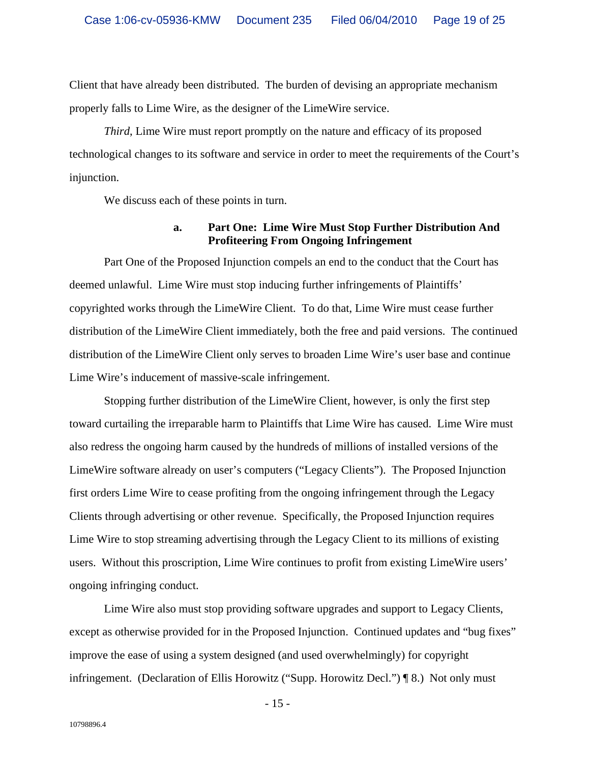Client that have already been distributed. The burden of devising an appropriate mechanism properly falls to Lime Wire, as the designer of the LimeWire service.

*Third*, Lime Wire must report promptly on the nature and efficacy of its proposed technological changes to its software and service in order to meet the requirements of the Court's injunction.

We discuss each of these points in turn.

## **a. Part One: Lime Wire Must Stop Further Distribution And Profiteering From Ongoing Infringement**

Part One of the Proposed Injunction compels an end to the conduct that the Court has deemed unlawful. Lime Wire must stop inducing further infringements of Plaintiffs' copyrighted works through the LimeWire Client. To do that, Lime Wire must cease further distribution of the LimeWire Client immediately, both the free and paid versions. The continued distribution of the LimeWire Client only serves to broaden Lime Wire's user base and continue Lime Wire's inducement of massive-scale infringement. Stopping further distribution of the LimeWire Client, however, is only the first step

toward curtailing the irreparable harm to Plaintiffs that Lime Wire has caused. Lime Wire must also redress the ongoing harm caused by the hundreds of millions of installed versions of the LimeWire software already on user's computers ("Legacy Clients"). The Proposed Injunction first orders Lime Wire to cease profiting from the ongoing infringement through the Legacy Clients through advertising or other revenue. Specifically, the Proposed Injunction requires Lime Wire to stop streaming advertising through the Legacy Client to its millions of existing users. Without this proscription, Lime Wire continues to profit from existing LimeWire users' ongoing infringing conduct.

Lime Wire also must stop providing software upgrades and support to Legacy Clients, except as otherwise provided for in the Proposed Injunction. Continued updates and "bug fixes" improve the ease of using a system designed (and used overwhelmingly) for copyright infringement. (Declaration of Ellis Horowitz ("Supp. Horowitz Decl.") ¶ 8.) Not only must

- 15 -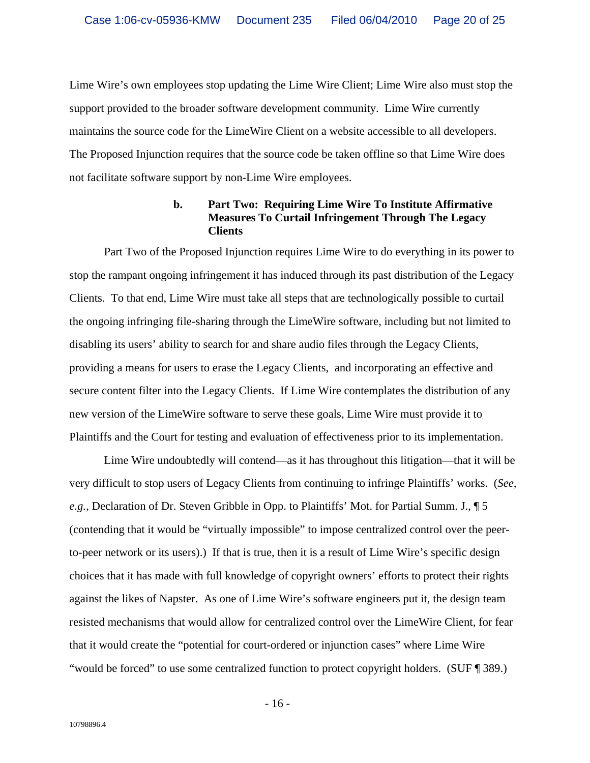Lime Wire's own employees stop updating the Lime Wire Client; Lime Wire also must stop the support provided to the broader software development community. Lime Wire currently maintains the source code for the LimeWire Client on a website accessible to all developers. The Proposed Injunction requires that the source code be taken offline so that Lime Wire does not facilitate software support by non-Lime Wire employees.

# **b. Part Two: Requiring Lime Wire To Institute Affirmative Measures To Curtail Infringement Through The Legacy Clients**

Part Two of the Proposed Injunction requires Lime Wire to do everything in its power to stop the rampant ongoing infringement it has induced through its past distribution of the Legacy Clients. To that end, Lime Wire must take all steps that are technologically possible to curtail the ongoing infringing file-sharing through the LimeWire software, including but not limited to disabling its users' ability to search for and share audio files through the Legacy Clients, providing a means for users to erase the Legacy Clients, and incorporating an effective and secure content filter into the Legacy Clients. If Lime Wire contemplates the distribution of any new version of the LimeWire software to serve these goals, Lime Wire must provide it to Plaintiffs and the Court for testing and evaluation of effectiveness prior to its implementation.

Lime Wire undoubtedly will contend—as it has throughout this litigation—that it will be very difficult to stop users of Legacy Clients from continuing to infringe Plaintiffs' works. (*See, e.g.,* Declaration of Dr. Steven Gribble in Opp. to Plaintiffs' Mot. for Partial Summ. J., ¶ 5 (contending that it would be "virtually impossible" to impose centralized control over the peerto-peer network or its users).) If that is true, then it is a result of Lime Wire's specific design choices that it has made with full knowledge of copyright owners' efforts to protect their rights against the likes of Napster. As one of Lime Wire's software engineers put it, the design team resisted mechanisms that would allow for centralized control over the LimeWire Client, for fear that it would create the "potential for court-ordered or injunction cases" where Lime Wire "would be forced" to use some centralized function to protect copyright holders. (SUF ¶ 389.)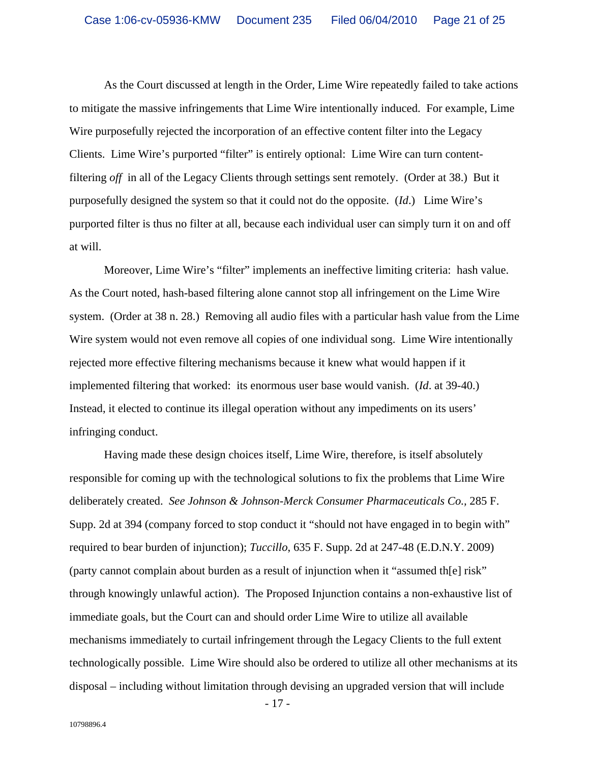As the Court discussed at length in the Order, Lime Wire repeatedly failed to take actions to mitigate the massive infringements that Lime Wire intentionally induced. For example, Lime Wire purposefully rejected the incorporation of an effective content filter into the Legacy Clients. Lime Wire's purported "filter" is entirely optional: Lime Wire can turn contentfiltering *off* in all of the Legacy Clients through settings sent remotely. (Order at 38.) But it purposefully designed the system so that it could not do the opposite. (*Id*.) Lime Wire's purported filter is thus no filter at all, because each individual user can simply turn it on and off at will.

Moreover, Lime Wire's "filter" implements an ineffective limiting criteria: hash value. As the Court noted, hash-based filtering alone cannot stop all infringement on the Lime Wire system. (Order at 38 n. 28.) Removing all audio files with a particular hash value from the Lime Wire system would not even remove all copies of one individual song. Lime Wire intentionally rejected more effective filtering mechanisms because it knew what would happen if it implemented filtering that worked: its enormous user base would vanish. (*Id.* at 39-40.) Instead, it elected to continue its illegal operation without any impediments on its users' infringing conduct.

Having made these design choices itself, Lime Wire, therefore, is itself absolutely responsible for coming up with the technological solutions to fix the problems that Lime Wire deliberately created. *See Johnson & Johnson-Merck Consumer Pharmaceuticals Co.,* 285 F. Supp. 2d at 394 (company forced to stop conduct it "should not have engaged in to begin with" required to bear burden of injunction); *Tuccillo*, 635 F. Supp. 2d at 247-48 (E.D.N.Y. 2009) (party cannot complain about burden as a result of injunction when it "assumed th[e] risk" through knowingly unlawful action). The Proposed Injunction contains a non-exhaustive list of immediate goals, but the Court can and should order Lime Wire to utilize all available mechanisms immediately to curtail infringement through the Legacy Clients to the full extent technologically possible. Lime Wire should also be ordered to utilize all other mechanisms at its disposal – including without limitation through devising an upgraded version that will include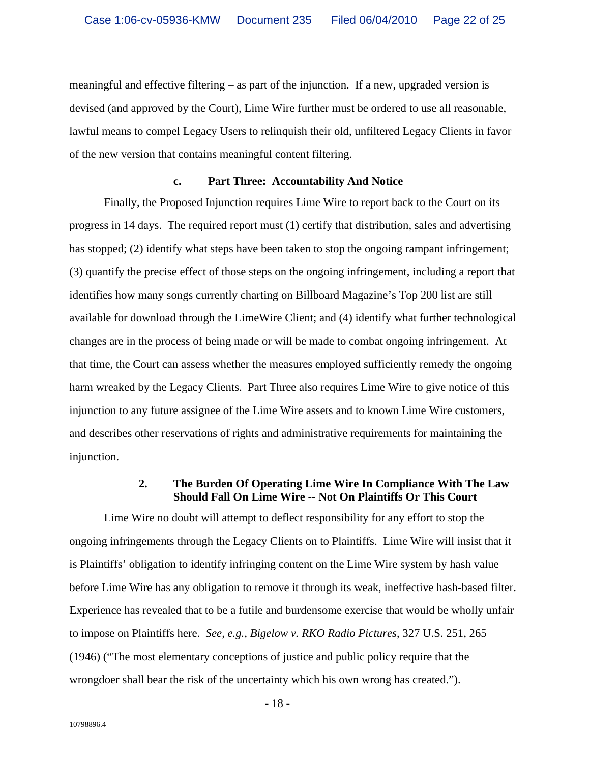meaningful and effective filtering – as part of the injunction. If a new, upgraded version is devised (and approved by the Court), Lime Wire further must be ordered to use all reasonable, lawful means to compel Legacy Users to relinquish their old, unfiltered Legacy Clients in favor of the new version that contains meaningful content filtering.

#### **c. Part Three: Accountability And Notice**

Finally, the Proposed Injunction requires Lime Wire to report back to the Court on its progress in 14 days. The required report must (1) certify that distribution, sales and advertising has stopped; (2) identify what steps have been taken to stop the ongoing rampant infringement; (3) quantify the precise effect of those steps on the ongoing infringement, including a report that identifies how many songs currently charting on Billboard Magazine's Top 200 list are still available for download through the LimeWire Client; and (4) identify what further technological changes are in the process of being made or will be made to combat ongoing infringement. At that time, the Court can assess whether the measures employed sufficiently remedy the ongoing harm wreaked by the Legacy Clients. Part Three also requires Lime Wire to give notice of this injunction to any future assignee of the Lime Wire assets and to known Lime Wire customers, and describes other reservations of rights and administrative requirements for maintaining the injunction.

## **2. The Burden Of Operating Lime Wire In Compliance With The Law Should Fall On Lime Wire -- Not On Plaintiffs Or This Court**

Lime Wire no doubt will attempt to deflect responsibility for any effort to stop the ongoing infringements through the Legacy Clients on to Plaintiffs. Lime Wire will insist that it is Plaintiffs' obligation to identify infringing content on the Lime Wire system by hash value before Lime Wire has any obligation to remove it through its weak, ineffective hash-based filter. Experience has revealed that to be a futile and burdensome exercise that would be wholly unfair to impose on Plaintiffs here. *See, e.g., Bigelow v. RKO Radio Pictures*, 327 U.S. 251, 265 (1946) ("The most elementary conceptions of justice and public policy require that the wrongdoer shall bear the risk of the uncertainty which his own wrong has created.").

- 18 -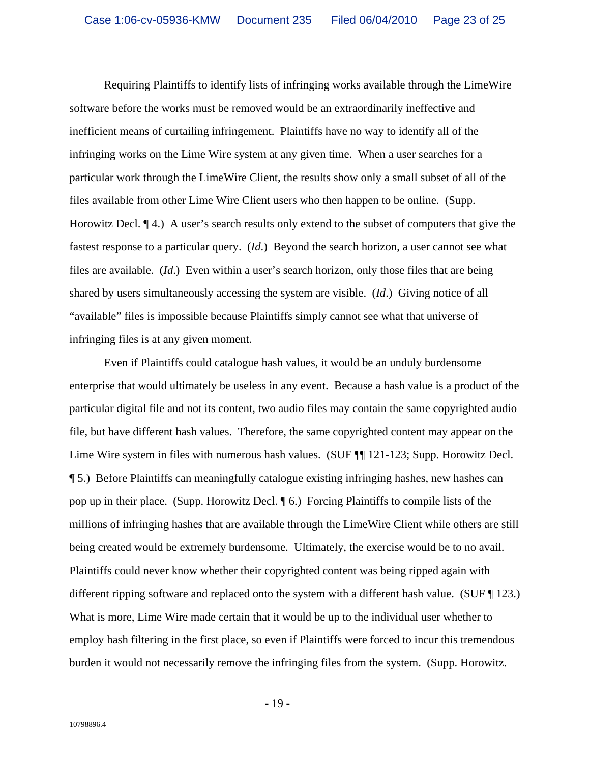Requiring Plaintiffs to identify lists of infringing works available through the LimeWire software before the works must be removed would be an extraordinarily ineffective and inefficient means of curtailing infringement. Plaintiffs have no way to identify all of the infringing works on the Lime Wire system at any given time. When a user searches for a particular work through the LimeWire Client, the results show only a small subset of all of the files available from other Lime Wire Client users who then happen to be online. (Supp. Horowitz Decl. ¶ 4.) A user's search results only extend to the subset of computers that give the fastest response to a particular query. (*Id*.) Beyond the search horizon, a user cannot see what files are available. (*Id*.) Even within a user's search horizon, only those files that are being shared by users simultaneously accessing the system are visible. (*Id*.) Giving notice of all "available" files is impossible because Plaintiffs simply cannot see what that universe of infringing files is at any given moment.

Even if Plaintiffs could catalogue hash values, it would be an unduly burdensome enterprise that would ultimately be useless in any event. Because a hash value is a product of the particular digital file and not its content, two audio files may contain the same copyrighted audio file, but have different hash values. Therefore, the same copyrighted content may appear on the Lime Wire system in files with numerous hash values. (SUF  $\P$  121-123; Supp. Horowitz Decl. ¶ 5.) Before Plaintiffs can meaningfully catalogue existing infringing hashes, new hashes can pop up in their place. (Supp. Horowitz Decl. ¶ 6.) Forcing Plaintiffs to compile lists of the millions of infringing hashes that are available through the LimeWire Client while others are still being created would be extremely burdensome. Ultimately, the exercise would be to no avail. Plaintiffs could never know whether their copyrighted content was being ripped again with different ripping software and replaced onto the system with a different hash value. (SUF ¶ 123.) What is more, Lime Wire made certain that it would be up to the individual user whether to employ hash filtering in the first place, so even if Plaintiffs were forced to incur this tremendous burden it would not necessarily remove the infringing files from the system. (Supp. Horowitz.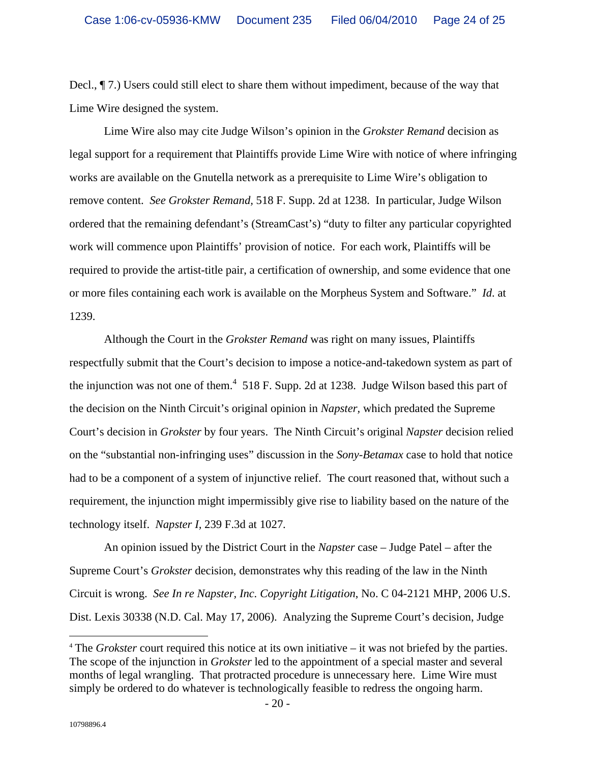Decl., ¶ 7.) Users could still elect to share them without impediment, because of the way that Lime Wire designed the system.

Lime Wire also may cite Judge Wilson's opinion in the *Grokster Remand* decision as legal support for a requirement that Plaintiffs provide Lime Wire with notice of where infringing works are available on the Gnutella network as a prerequisite to Lime Wire's obligation to remove content. *See Grokster Remand,* 518 F. Supp. 2d at 1238. In particular, Judge Wilson ordered that the remaining defendant's (StreamCast's) "duty to filter any particular copyrighted work will commence upon Plaintiffs' provision of notice. For each work, Plaintiffs will be required to provide the artist-title pair, a certification of ownership, and some evidence that one or more files containing each work is available on the Morpheus System and Software." *Id*. at 1239.

Although the Court in the *Grokster Remand* was right on many issues, Plaintiffs respectfully submit that the Court's decision to impose a notice-and-takedown system as part of the injunction was not one of them. $4\,$  518 F. Supp. 2d at 1238. Judge Wilson based this part of the decision on the Ninth Circuit's original opinion in *Napster,* which predated the Supreme Court's decision in *Grokster* by four years. The Ninth Circuit's original *Napster* decision relied on the "substantial non-infringing uses" discussion in the *Sony-Betamax* case to hold that notice had to be a component of a system of injunctive relief. The court reasoned that, without such a requirement, the injunction might impermissibly give rise to liability based on the nature of the technology itself. *Napster I,* 239 F.3d at 1027.

An opinion issued by the District Court in the *Napster* case – Judge Patel – after the Supreme Court's *Grokster* decision, demonstrates why this reading of the law in the Ninth Circuit is wrong. *See In re Napster, Inc. Copyright Litigation*, No. C 04-2121 MHP, 2006 U.S. Dist. Lexis 30338 (N.D. Cal. May 17, 2006). Analyzing the Supreme Court's decision, Judge

 <sup>4</sup> The *Grokster* court required this notice at its own initiative – it was not briefed by the parties. The scope of the injunction in *Grokster* led to the appointment of a special master and several months of legal wrangling. That protracted procedure is unnecessary here. Lime Wire must simply be ordered to do whatever is technologically feasible to redress the ongoing harm.